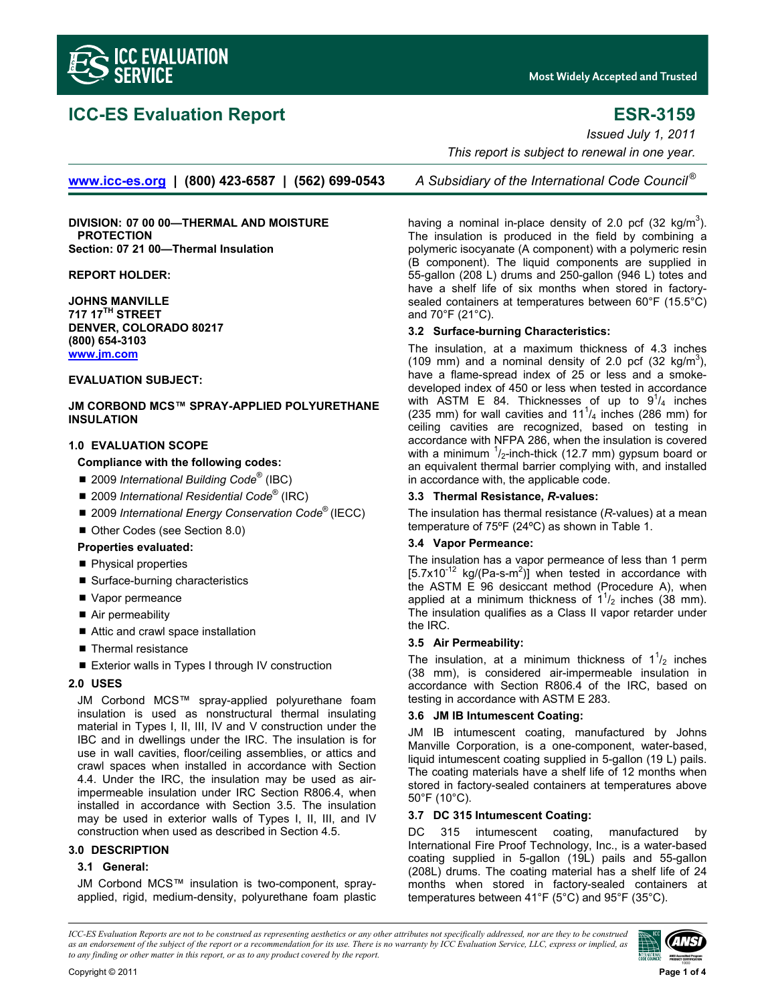

# **ICC-ES Evaluation Report ESR-3159**

**Most Widely Accepted and Trusted** 

*Issued July 1, 2011 This report is subject to renewal in one year.* 

**www.icc-es.org | (800) 423-6587 | (562) 699-0543** *A Subsidiary of the International Code Council ®*

**DIVISION: 07 00 00—THERMAL AND MOISTURE PROTECTION Section: 07 21 00—Thermal Insulation** 

**REPORT HOLDER:** 

**JOHNS MANVILLE 717 17TH STREET DENVER, COLORADO 80217 (800) 654-3103 www.jm.com**

# **EVALUATION SUBJECT:**

**JM CORBOND MCS™ SPRAY-APPLIED POLYURETHANE INSULATION** 

# **1.0 EVALUATION SCOPE**

# **Compliance with the following codes:**

- 2009 *International Building Code<sup>®</sup>* (IBC)
- 2009 *International Residential Code*<sup>®</sup> (IRC)
- 2009 *International Energy Conservation Code*<sup>®</sup> (IECC)
- Other Codes (see Section 8.0)

## **Properties evaluated:**

- Physical properties
- Surface-burning characteristics
- Vapor permeance
- Air permeability
- Attic and crawl space installation
- Thermal resistance
- Exterior walls in Types I through IV construction

#### **2.0 USES**

JM Corbond MCS™ spray-applied polyurethane foam insulation is used as nonstructural thermal insulating material in Types I, II, III, IV and V construction under the IBC and in dwellings under the IRC. The insulation is for use in wall cavities, floor/ceiling assemblies, or attics and crawl spaces when installed in accordance with Section 4.4. Under the IRC, the insulation may be used as airimpermeable insulation under IRC Section R806.4, when installed in accordance with Section 3.5. The insulation may be used in exterior walls of Types I, II, III, and IV construction when used as described in Section 4.5.

# **3.0 DESCRIPTION**

# **3.1 General:**

JM Corbond MCS™ insulation is two-component, sprayapplied, rigid, medium-density, polyurethane foam plastic

having a nominal in-place density of 2.0 pcf (32 kg/m<sup>3</sup>). The insulation is produced in the field by combining a polymeric isocyanate (A component) with a polymeric resin (B component). The liquid components are supplied in 55-gallon (208 L) drums and 250-gallon (946 L) totes and have a shelf life of six months when stored in factorysealed containers at temperatures between 60°F (15.5°C) and 70°F (21°C).

#### **3.2 Surface-burning Characteristics:**

The insulation, at a maximum thickness of 4.3 inches (109 mm) and a nominal density of 2.0 pcf (32 kg/m<sup>3</sup>), have a flame-spread index of 25 or less and a smokedeveloped index of 450 or less when tested in accordance with ASTM E 84. Thicknesses of up to  $9^{1}/_{4}$  inches (235 mm) for wall cavities and  $11^{1}/_4$  inches (286 mm) for ceiling cavities are recognized, based on testing in accordance with NFPA 286, when the insulation is covered with a minimum  $\frac{1}{2}$ -inch-thick (12.7 mm) gypsum board or an equivalent thermal barrier complying with, and installed in accordance with, the applicable code.

#### **3.3 Thermal Resistance,** *R***-values:**

The insulation has thermal resistance (*R*-values) at a mean temperature of 75ºF (24ºC) as shown in Table 1.

# **3.4 Vapor Permeance:**

The insulation has a vapor permeance of less than 1 perm  $[5.7x10<sup>-12</sup>$  kg/(Pa-s-m<sup>2</sup>)] when tested in accordance with the ASTM E 96 desiccant method (Procedure A), when applied at a minimum thickness of  $1^{1}/_{2}$  inches (38 mm). The insulation qualifies as a Class II vapor retarder under the IRC.

#### **3.5 Air Permeability:**

The insulation, at a minimum thickness of  $1<sup>1</sup>/2$  inches (38 mm), is considered air-impermeable insulation in accordance with Section R806.4 of the IRC, based on testing in accordance with ASTM E 283.

#### **3.6 JM IB Intumescent Coating:**

JM IB intumescent coating, manufactured by Johns Manville Corporation, is a one-component, water-based, liquid intumescent coating supplied in 5-gallon (19 L) pails. The coating materials have a shelf life of 12 months when stored in factory-sealed containers at temperatures above 50°F (10°C).

# **3.7 DC 315 Intumescent Coating:**

DC 315 intumescent coating, manufactured by International Fire Proof Technology, Inc., is a water-based coating supplied in 5-gallon (19L) pails and 55-gallon (208L) drums. The coating material has a shelf life of 24 months when stored in factory-sealed containers at temperatures between 41°F (5°C) and 95°F (35°C).

*ICC-ES Evaluation Reports are not to be construed as representing aesthetics or any other attributes not specifically addressed, nor are they to be construed as an endorsement of the subject of the report or a recommendation for its use. There is no warranty by ICC Evaluation Service, LLC, express or implied, as to any finding or other matter in this report, or as to any product covered by the report.*

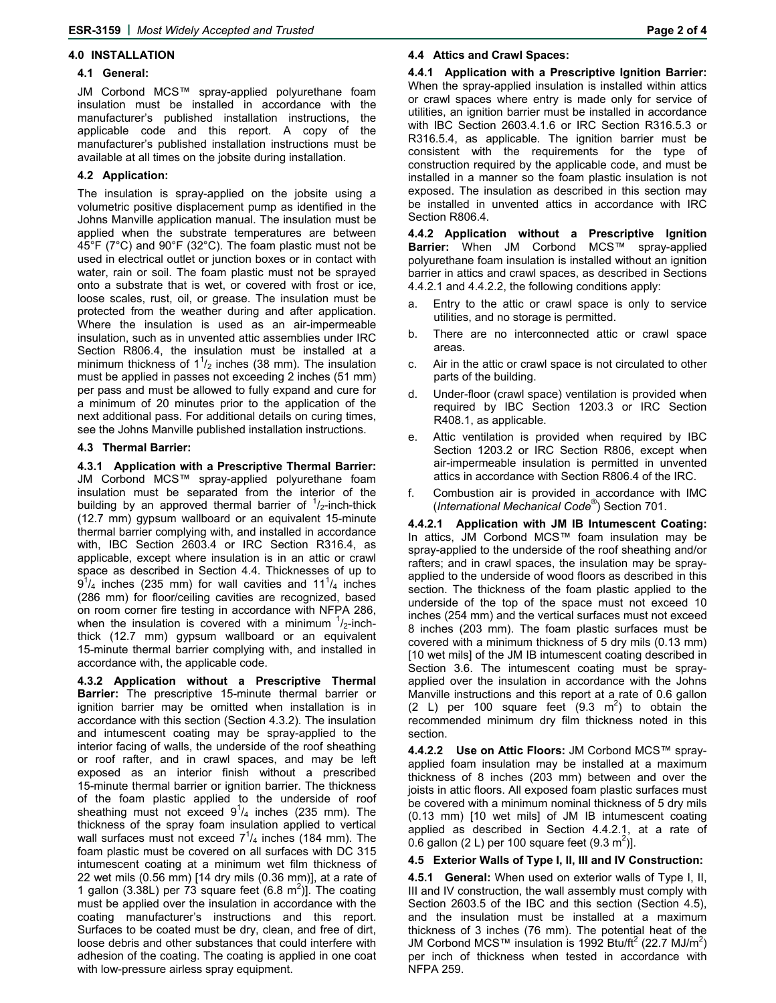#### **4.0 INSTALLATION**

#### **4.1 General:**

JM Corbond MCS™ spray-applied polyurethane foam insulation must be installed in accordance with the manufacturer's published installation instructions, the applicable code and this report. A copy of the manufacturer's published installation instructions must be available at all times on the jobsite during installation.

## **4.2 Application:**

The insulation is spray-applied on the jobsite using a volumetric positive displacement pump as identified in the Johns Manville application manual. The insulation must be applied when the substrate temperatures are between 45°F (7°C) and 90°F (32°C). The foam plastic must not be used in electrical outlet or junction boxes or in contact with water, rain or soil. The foam plastic must not be sprayed onto a substrate that is wet, or covered with frost or ice, loose scales, rust, oil, or grease. The insulation must be protected from the weather during and after application. Where the insulation is used as an air-impermeable insulation, such as in unvented attic assemblies under IRC Section R806.4, the insulation must be installed at a minimum thickness of  $1^{1}/2$  inches (38 mm). The insulation must be applied in passes not exceeding 2 inches (51 mm) per pass and must be allowed to fully expand and cure for a minimum of 20 minutes prior to the application of the next additional pass. For additional details on curing times, see the Johns Manville published installation instructions.

## **4.3 Thermal Barrier:**

**4.3.1 Application with a Prescriptive Thermal Barrier:**  JM Corbond MCS™ spray-applied polyurethane foam insulation must be separated from the interior of the building by an approved thermal barrier of  $\frac{1}{2}$ -inch-thick (12.7 mm) gypsum wallboard or an equivalent 15-minute thermal barrier complying with, and installed in accordance with, IBC Section 2603.4 or IRC Section R316.4, as applicable, except where insulation is in an attic or crawl space as described in Section 4.4. Thicknesses of up to  $9^{1}/_{4}$  inches (235 mm) for wall cavities and 11 $^{1}/_{4}$  inches (286 mm) for floor/ceiling cavities are recognized, based on room corner fire testing in accordance with NFPA 286, when the insulation is covered with a minimum  $\frac{1}{2}$ -inchthick (12.7 mm) gypsum wallboard or an equivalent 15-minute thermal barrier complying with, and installed in accordance with, the applicable code.

**4.3.2 Application without a Prescriptive Thermal Barrier:** The prescriptive 15-minute thermal barrier or ignition barrier may be omitted when installation is in accordance with this section (Section 4.3.2). The insulation and intumescent coating may be spray-applied to the interior facing of walls, the underside of the roof sheathing or roof rafter, and in crawl spaces, and may be left exposed as an interior finish without a prescribed 15-minute thermal barrier or ignition barrier. The thickness of the foam plastic applied to the underside of roof sheathing must not exceed  $9^{1}/_{4}$  inches (235 mm). The thickness of the spray foam insulation applied to vertical wall surfaces must not exceed  $7<sup>1</sup>/4$  inches (184 mm). The foam plastic must be covered on all surfaces with DC 315 intumescent coating at a minimum wet film thickness of 22 wet mils (0.56 mm) [14 dry mils (0.36 mm)], at a rate of 1 gallon (3.38L) per 73 square feet  $(6.8 \text{ m}^2)$ ]. The coating must be applied over the insulation in accordance with the coating manufacturer's instructions and this report. Surfaces to be coated must be dry, clean, and free of dirt, loose debris and other substances that could interfere with adhesion of the coating. The coating is applied in one coat with low-pressure airless spray equipment.

#### **4.4 Attics and Crawl Spaces:**

**4.4.1 Application with a Prescriptive Ignition Barrier:**  When the spray-applied insulation is installed within attics or crawl spaces where entry is made only for service of utilities, an ignition barrier must be installed in accordance with IBC Section 2603.4.1.6 or IRC Section R316.5.3 or R316.5.4, as applicable. The ignition barrier must be consistent with the requirements for the type of construction required by the applicable code, and must be installed in a manner so the foam plastic insulation is not exposed. The insulation as described in this section may be installed in unvented attics in accordance with IRC Section R806.4.

**4.4.2 Application without a Prescriptive Ignition Barrier:** When JM Corbond MCS™ spray-applied polyurethane foam insulation is installed without an ignition barrier in attics and crawl spaces, as described in Sections 4.4.2.1 and 4.4.2.2, the following conditions apply:

- Entry to the attic or crawl space is only to service utilities, and no storage is permitted.
- b. There are no interconnected attic or crawl space areas.
- c. Air in the attic or crawl space is not circulated to other parts of the building.
- Under-floor (crawl space) ventilation is provided when required by IBC Section 1203.3 or IRC Section R408.1, as applicable.
- e. Attic ventilation is provided when required by IBC Section 1203.2 or IRC Section R806, except when air-impermeable insulation is permitted in unvented attics in accordance with Section R806.4 of the IRC.
- f. Combustion air is provided in accordance with IMC (*International Mechanical Code*® ) Section 701.

**4.4.2.1 Application with JM IB Intumescent Coating:**  In attics, JM Corbond MCS™ foam insulation may be spray-applied to the underside of the roof sheathing and/or rafters; and in crawl spaces, the insulation may be sprayapplied to the underside of wood floors as described in this section. The thickness of the foam plastic applied to the underside of the top of the space must not exceed 10 inches (254 mm) and the vertical surfaces must not exceed 8 inches (203 mm). The foam plastic surfaces must be covered with a minimum thickness of 5 dry mils (0.13 mm) [10 wet mils] of the JM IB intumescent coating described in Section 3.6. The intumescent coating must be sprayapplied over the insulation in accordance with the Johns Manville instructions and this report at a rate of 0.6 gallon (2 L) per 100 square feet  $(9.3 \text{ m}^2)$  to obtain the recommended minimum dry film thickness noted in this section.

**4.4.2.2 Use on Attic Floors:** JM Corbond MCS™ sprayapplied foam insulation may be installed at a maximum thickness of 8 inches (203 mm) between and over the joists in attic floors. All exposed foam plastic surfaces must be covered with a minimum nominal thickness of 5 dry mils (0.13 mm) [10 wet mils] of JM IB intumescent coating applied as described in Section 4.4.2.1, at a rate of 0.6 gallon (2 L) per 100 square feet  $(9.3 \text{ m}^2)$ ].

## **4.5 Exterior Walls of Type I, II, III and IV Construction:**

**4.5.1 General:** When used on exterior walls of Type I, II, III and IV construction, the wall assembly must comply with Section 2603.5 of the IBC and this section (Section 4.5), and the insulation must be installed at a maximum thickness of 3 inches (76 mm). The potential heat of the JM Corbond MCS™ insulation is 1992 Btu/ft<sup>2</sup> (22.7 MJ/m<sup>2</sup>) per inch of thickness when tested in accordance with NFPA 259.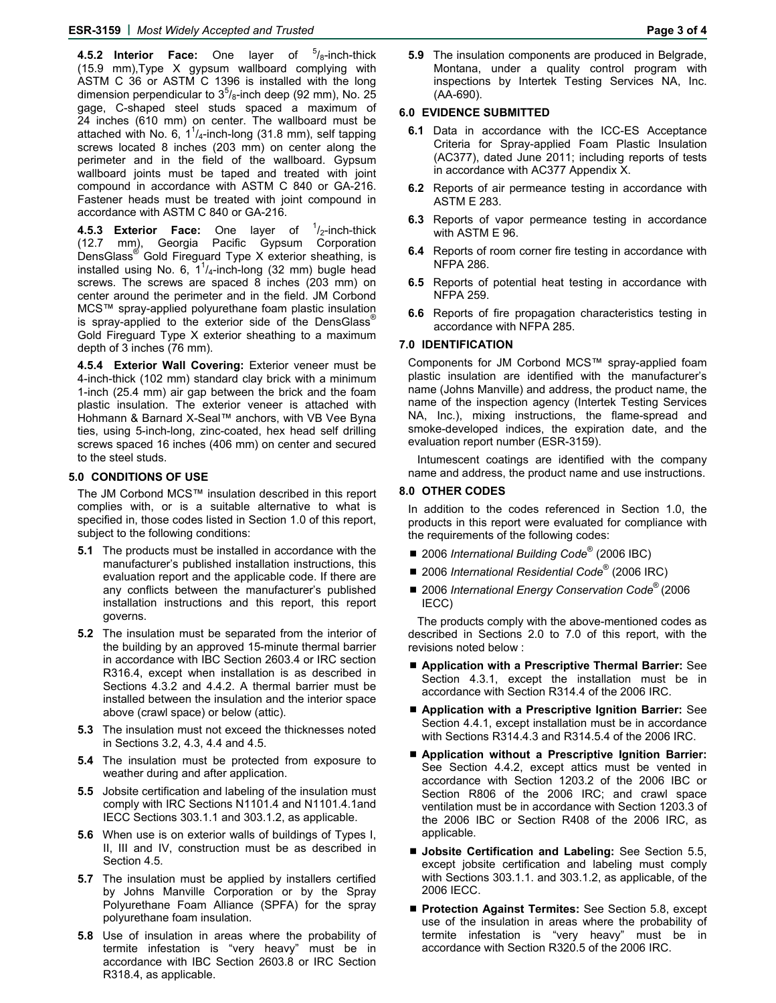**4.5.2 Interior Face:** One layer of <sup>5</sup>/<sub>8</sub>-inch-thick (15.9 mm),Type X gypsum wallboard complying with ASTM C 36 or ASTM C 1396 is installed with the long dimension perpendicular to  $3^{5}/_8$ -inch deep (92 mm), No. 25 gage, C-shaped steel studs spaced a maximum of 24 inches (610 mm) on center. The wallboard must be attached with No. 6,  $1^{1}/_{4}$ -inch-long (31.8 mm), self tapping screws located 8 inches (203 mm) on center along the perimeter and in the field of the wallboard. Gypsum wallboard joints must be taped and treated with joint compound in accordance with ASTM C 840 or GA-216. Fastener heads must be treated with joint compound in accordance with ASTM C 840 or GA-216.

**4.5.3 Exterior Face:** One layer of <sup>1</sup>/<sub>2</sub>-inch-thick (12.7 mm), Georgia Pacific Gypsum Corporation DensGlass<sup>®</sup> Gold Fireguard Type X exterior sheathing, is installed using No. 6,  $1^{1}/_{4}$ -inch-long (32 mm) bugle head screws. The screws are spaced 8 inches (203 mm) on center around the perimeter and in the field. JM Corbond MCS™ spray-applied polyurethane foam plastic insulation is spray-applied to the exterior side of the DensGlass® Gold Fireguard Type X exterior sheathing to a maximum depth of 3 inches (76 mm).

**4.5.4 Exterior Wall Covering:** Exterior veneer must be 4-inch-thick (102 mm) standard clay brick with a minimum 1-inch (25.4 mm) air gap between the brick and the foam plastic insulation. The exterior veneer is attached with Hohmann & Barnard X-Seal™ anchors, with VB Vee Byna ties, using 5-inch-long, zinc-coated, hex head self drilling screws spaced 16 inches (406 mm) on center and secured to the steel studs.

#### **5.0 CONDITIONS OF USE**

The JM Corbond MCS™ insulation described in this report complies with, or is a suitable alternative to what is specified in, those codes listed in Section 1.0 of this report, subject to the following conditions:

- **5.1** The products must be installed in accordance with the manufacturer's published installation instructions, this evaluation report and the applicable code. If there are any conflicts between the manufacturer's published installation instructions and this report, this report governs.
- **5.2** The insulation must be separated from the interior of the building by an approved 15-minute thermal barrier in accordance with IBC Section 2603.4 or IRC section R316.4, except when installation is as described in Sections 4.3.2 and 4.4.2. A thermal barrier must be installed between the insulation and the interior space above (crawl space) or below (attic).
- **5.3** The insulation must not exceed the thicknesses noted in Sections 3.2, 4.3, 4.4 and 4.5.
- **5.4** The insulation must be protected from exposure to weather during and after application.
- **5.5** Jobsite certification and labeling of the insulation must comply with IRC Sections N1101.4 and N1101.4.1and IECC Sections 303.1.1 and 303.1.2, as applicable.
- **5.6** When use is on exterior walls of buildings of Types I, II, III and IV, construction must be as described in Section 4.5.
- **5.7** The insulation must be applied by installers certified by Johns Manville Corporation or by the Spray Polyurethane Foam Alliance (SPFA) for the spray polyurethane foam insulation.
- **5.8** Use of insulation in areas where the probability of termite infestation is "very heavy" must be in accordance with IBC Section 2603.8 or IRC Section R318.4, as applicable.

**5.9** The insulation components are produced in Belgrade, Montana, under a quality control program with inspections by Intertek Testing Services NA, Inc. (AA-690).

#### **6.0 EVIDENCE SUBMITTED**

- **6.1** Data in accordance with the ICC-ES Acceptance Criteria for Spray-applied Foam Plastic Insulation (AC377), dated June 2011; including reports of tests in accordance with AC377 Appendix X.
- **6.2** Reports of air permeance testing in accordance with ASTM E 283.
- **6.3** Reports of vapor permeance testing in accordance with ASTM E 96.
- **6.4** Reports of room corner fire testing in accordance with NFPA 286.
- **6.5** Reports of potential heat testing in accordance with NFPA 259.
- **6.6** Reports of fire propagation characteristics testing in accordance with NFPA 285.

#### **7.0 IDENTIFICATION**

Components for JM Corbond MCS™ spray-applied foam plastic insulation are identified with the manufacturer's name (Johns Manville) and address, the product name, the name of the inspection agency (Intertek Testing Services NA, Inc.), mixing instructions, the flame-spread and smoke-developed indices, the expiration date, and the evaluation report number (ESR-3159).

Intumescent coatings are identified with the company name and address, the product name and use instructions.

#### **8.0 OTHER CODES**

In addition to the codes referenced in Section 1.0, the products in this report were evaluated for compliance with the requirements of the following codes:

- 2006 *International Building Code*<sup>®</sup> (2006 IBC)
- 2006 *International Residential Code*<sup>®</sup> (2006 IRC)
- 2006 *International Energy Conservation Code*<sup>®</sup> (2006 IECC)

The products comply with the above-mentioned codes as described in Sections 2.0 to 7.0 of this report, with the revisions noted below :

- **Application with a Prescriptive Thermal Barrier:** See Section 4.3.1, except the installation must be in accordance with Section R314.4 of the 2006 IRC.
- **Application with a Prescriptive Ignition Barrier:** See Section 4.4.1, except installation must be in accordance with Sections R314.4.3 and R314.5.4 of the 2006 IRC.
- Application without a Prescriptive Ignition Barrier: See Section 4.4.2, except attics must be vented in accordance with Section 1203.2 of the 2006 IBC or Section R806 of the 2006 IRC; and crawl space ventilation must be in accordance with Section 1203.3 of the 2006 IBC or Section R408 of the 2006 IRC, as applicable.
- **Jobsite Certification and Labeling:** See Section 5.5, except jobsite certification and labeling must comply with Sections 303.1.1. and 303.1.2, as applicable, of the 2006 IECC.
- Protection Against Termites: See Section 5.8, except use of the insulation in areas where the probability of termite infestation is "very heavy" must be in accordance with Section R320.5 of the 2006 IRC.